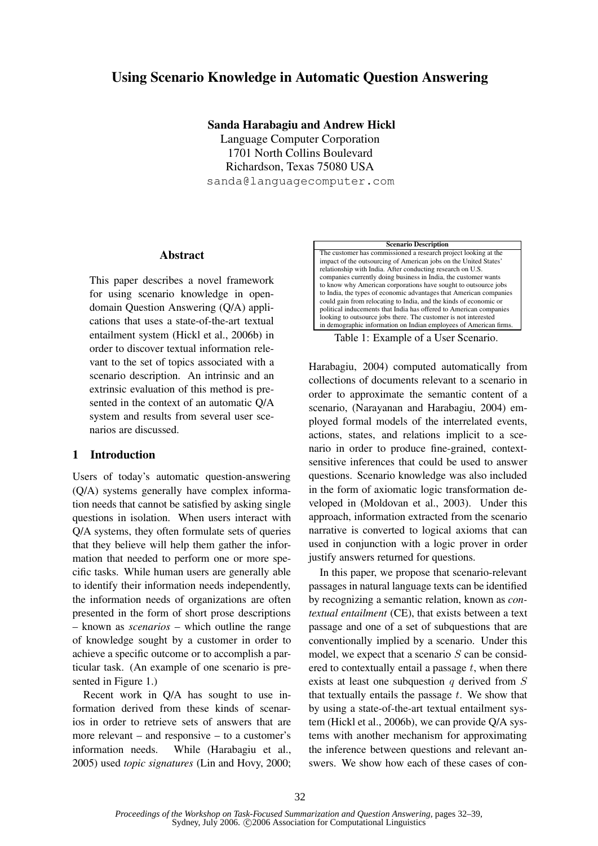# **Using Scenario Knowledge in Automatic Question Answering**

**Sanda Harabagiu and Andrew Hickl** Language Computer Corporation 1701 North Collins Boulevard Richardson, Texas 75080 USA sanda@languagecomputer.com

#### **Abstract**

This paper describes a novel framework for using scenario knowledge in opendomain Question Answering (Q/A) applications that uses a state-of-the-art textual entailment system (Hickl et al., 2006b) in order to discover textual information relevant to the set of topics associated with a scenario description. An intrinsic and an extrinsic evaluation of this method is presented in the context of an automatic Q/A system and results from several user scenarios are discussed.

# **1 Introduction**

Users of today's automatic question-answering (Q/A) systems generally have complex information needs that cannot be satisfied by asking single questions in isolation. When users interact with Q/A systems, they often formulate sets of queries that they believe will help them gather the information that needed to perform one or more specific tasks. While human users are generally able to identify their information needs independently, the information needs of organizations are often presented in the form of short prose descriptions – known as *scenarios* – which outline the range of knowledge sought by a customer in order to achieve a specific outcome or to accomplish a particular task. (An example of one scenario is presented in Figure 1.)

Recent work in Q/A has sought to use information derived from these kinds of scenarios in order to retrieve sets of answers that are more relevant – and responsive – to a customer's information needs. While (Harabagiu et al., 2005) used *topic signatures* (Lin and Hovy, 2000;

#### **Scenario Description** The customer has commissioned a research project looking at the impact of the outsourcing of American jobs on the United States' relationship with India. After conducting research on U.S. companies currently doing business in India, the customer wants to know why American corporations have sought to outsource jobs to India, the types of economic advantages that American companies could gain from relocating to India, and the kinds of economic or political inducements that India has offered to American companies looking to outsource jobs there. The customer is not interested in demographic information on Indian employees of American firms.

Table 1: Example of a User Scenario.

Harabagiu, 2004) computed automatically from collections of documents relevant to a scenario in order to approximate the semantic content of a scenario, (Narayanan and Harabagiu, 2004) employed formal models of the interrelated events, actions, states, and relations implicit to a scenario in order to produce fine-grained, contextsensitive inferences that could be used to answer questions. Scenario knowledge was also included in the form of axiomatic logic transformation developed in (Moldovan et al., 2003). Under this approach, information extracted from the scenario narrative is converted to logical axioms that can used in conjunction with a logic prover in order justify answers returned for questions.

In this paper, we propose that scenario-relevant passages in natural language texts can be identified by recognizing a semantic relation, known as *contextual entailment* (CE), that exists between a text passage and one of a set of subquestions that are conventionally implied by a scenario. Under this model, we expect that a scenario  $S$  can be considered to contextually entail a passage  $t$ , when there exists at least one subquestion  $q$  derived from  $S$ that textually entails the passage  $t$ . We show that by using a state-of-the-art textual entailment system (Hickl et al., 2006b), we can provide Q/A systems with another mechanism for approximating the inference between questions and relevant answers. We show how each of these cases of con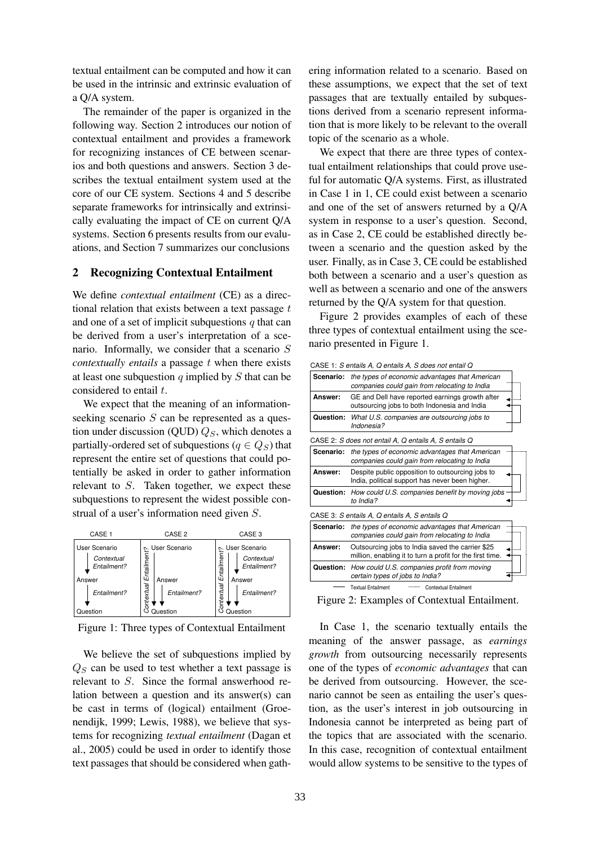textual entailment can be computed and how it can be used in the intrinsic and extrinsic evaluation of a Q/A system.

The remainder of the paper is organized in the following way. Section 2 introduces our notion of contextual entailment and provides a framework for recognizing instances of CE between scenarios and both questions and answers. Section 3 describes the textual entailment system used at the core of our CE system. Sections 4 and 5 describe separate frameworks for intrinsically and extrinsically evaluating the impact of CE on current Q/A systems. Section 6 presents results from our evaluations, and Section 7 summarizes our conclusions

### **2 Recognizing Contextual Entailment**

We define *contextual entailment* (CE) as a directional relation that exists between a text passage  $t$ and one of a set of implicit subquestions  $q$  that can be derived from a user's interpretation of a scenario. Informally, we consider that a scenario S *contextually entails* a passage t when there exists at least one subquestion  $q$  implied by  $S$  that can be considered to entail t.

We expect that the meaning of an informationseeking scenario  $S$  can be represented as a question under discussion (QUD)  $Q_S$ , which denotes a partially-ordered set of subquestions ( $q \in Q_S$ ) that represent the entire set of questions that could potentially be asked in order to gather information relevant to S. Taken together, we expect these subquestions to represent the widest possible construal of a user's information need given S.



Figure 1: Three types of Contextual Entailment

We believe the set of subquestions implied by  $Q<sub>S</sub>$  can be used to test whether a text passage is relevant to S. Since the formal answerhood relation between a question and its answer(s) can be cast in terms of (logical) entailment (Groenendijk, 1999; Lewis, 1988), we believe that systems for recognizing *textual entailment* (Dagan et al., 2005) could be used in order to identify those text passages that should be considered when gathering information related to a scenario. Based on these assumptions, we expect that the set of text passages that are textually entailed by subquestions derived from a scenario represent information that is more likely to be relevant to the overall topic of the scenario as a whole.

We expect that there are three types of contextual entailment relationships that could prove useful for automatic Q/A systems. First, as illustrated in Case 1 in 1, CE could exist between a scenario and one of the set of answers returned by a Q/A system in response to a user's question. Second, as in Case 2, CE could be established directly between a scenario and the question asked by the user. Finally, as in Case 3, CE could be established both between a scenario and a user's question as well as between a scenario and one of the answers returned by the Q/A system for that question.

Figure 2 provides examples of each of these three types of contextual entailment using the scenario presented in Figure 1.

CASE 1: *S entails A, Q entails A, S does not entail Q*

| Scenario:        | the types of economic advantages that American<br>companies could gain from relocating to India               |  |
|------------------|---------------------------------------------------------------------------------------------------------------|--|
| Answer:          | GE and Dell have reported earnings growth after<br>outsourcing jobs to both Indonesia and India               |  |
| Question:        | What U.S. companies are outsourcing jobs to<br>Indonesia?                                                     |  |
|                  | CASE 2: S does not entail A, Q entails A, S entails Q                                                         |  |
| <b>Scenario:</b> | the types of economic advantages that American<br>companies could gain from relocating to India               |  |
| Answer:          | Despite public opposition to outsourcing jobs to<br>India, political support has never been higher.           |  |
| Question:        | How could U.S. companies benefit by moving jobs<br>to India?                                                  |  |
|                  | CASE 3: S entails A, Q entails A, S entails Q                                                                 |  |
| Scenario:        | the types of economic advantages that American<br>companies could gain from relocating to India               |  |
| Answer:          | Outsourcing jobs to India saved the carrier \$25<br>million, enabling it to turn a profit for the first time. |  |
|                  | <b>Question:</b> How could U.S. companies profit from moving<br>certain types of jobs to India?               |  |
|                  | <b>Textual Entailment</b><br>Contextual Entailment                                                            |  |
|                  |                                                                                                               |  |

Figure 2: Examples of Contextual Entailment.

In Case 1, the scenario textually entails the meaning of the answer passage, as *earnings growth* from outsourcing necessarily represents one of the types of *economic advantages* that can be derived from outsourcing. However, the scenario cannot be seen as entailing the user's question, as the user's interest in job outsourcing in Indonesia cannot be interpreted as being part of the topics that are associated with the scenario. In this case, recognition of contextual entailment would allow systems to be sensitive to the types of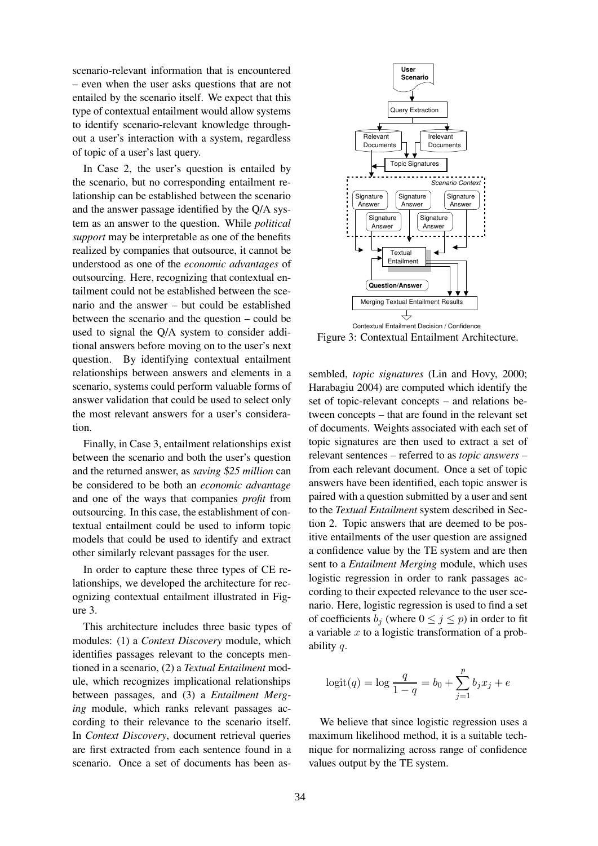scenario-relevant information that is encountered – even when the user asks questions that are not entailed by the scenario itself. We expect that this type of contextual entailment would allow systems to identify scenario-relevant knowledge throughout a user's interaction with a system, regardless of topic of a user's last query.

In Case 2, the user's question is entailed by the scenario, but no corresponding entailment relationship can be established between the scenario and the answer passage identified by the Q/A system as an answer to the question. While *political support* may be interpretable as one of the benefits realized by companies that outsource, it cannot be understood as one of the *economic advantages* of outsourcing. Here, recognizing that contextual entailment could not be established between the scenario and the answer – but could be established between the scenario and the question – could be used to signal the Q/A system to consider additional answers before moving on to the user's next question. By identifying contextual entailment relationships between answers and elements in a scenario, systems could perform valuable forms of answer validation that could be used to select only the most relevant answers for a user's consideration.

Finally, in Case 3, entailment relationships exist between the scenario and both the user's question and the returned answer, as *saving* \$*25 million* can be considered to be both an *economic advantage* and one of the ways that companies *profit* from outsourcing. In this case, the establishment of contextual entailment could be used to inform topic models that could be used to identify and extract other similarly relevant passages for the user.

In order to capture these three types of CE relationships, we developed the architecture for recognizing contextual entailment illustrated in Figure 3.

This architecture includes three basic types of modules: (1) a *Context Discovery* module, which identifies passages relevant to the concepts mentioned in a scenario, (2) a *Textual Entailment* module, which recognizes implicational relationships between passages, and (3) a *Entailment Merging* module, which ranks relevant passages according to their relevance to the scenario itself. In *Context Discovery*, document retrieval queries are first extracted from each sentence found in a scenario. Once a set of documents has been as-



Figure 3: Contextual Entailment Architecture.

sembled, *topic signatures* (Lin and Hovy, 2000; Harabagiu 2004) are computed which identify the set of topic-relevant concepts – and relations between concepts – that are found in the relevant set of documents. Weights associated with each set of topic signatures are then used to extract a set of relevant sentences – referred to as *topic answers* – from each relevant document. Once a set of topic answers have been identified, each topic answer is paired with a question submitted by a user and sent to the *Textual Entailment* system described in Section 2. Topic answers that are deemed to be positive entailments of the user question are assigned a confidence value by the TE system and are then sent to a *Entailment Merging* module, which uses logistic regression in order to rank passages according to their expected relevance to the user scenario. Here, logistic regression is used to find a set of coefficients  $b_j$  (where  $0 \le j \le p$ ) in order to fit a variable  $x$  to a logistic transformation of a probability q.

$$
logit(q) = log \frac{q}{1-q} = b_0 + \sum_{j=1}^{p} b_j x_j + e
$$

We believe that since logistic regression uses a maximum likelihood method, it is a suitable technique for normalizing across range of confidence values output by the TE system.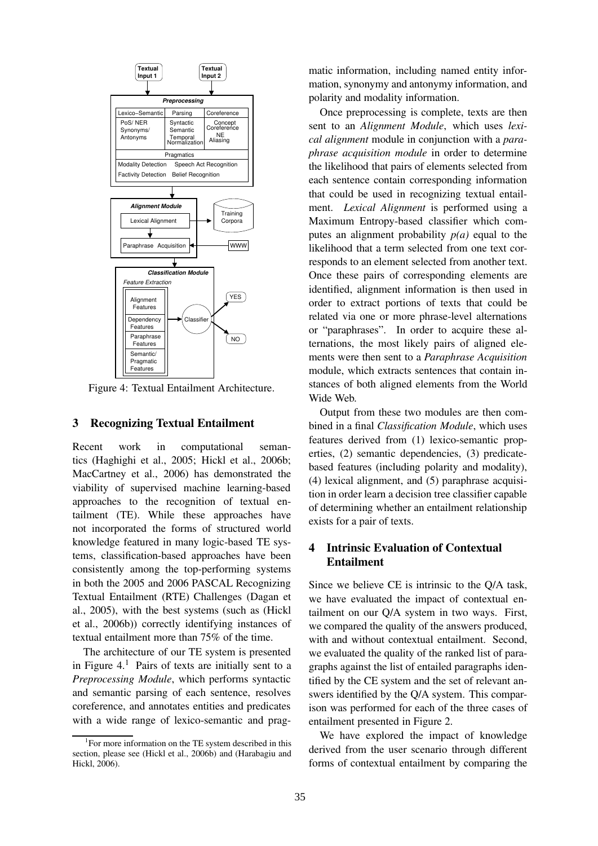

Figure 4: Textual Entailment Architecture.

### **3 Recognizing Textual Entailment**

Recent work in computational semantics (Haghighi et al., 2005; Hickl et al., 2006b; MacCartney et al., 2006) has demonstrated the viability of supervised machine learning-based approaches to the recognition of textual entailment (TE). While these approaches have not incorporated the forms of structured world knowledge featured in many logic-based TE systems, classification-based approaches have been consistently among the top-performing systems in both the 2005 and 2006 PASCAL Recognizing Textual Entailment (RTE) Challenges (Dagan et al., 2005), with the best systems (such as (Hickl et al., 2006b)) correctly identifying instances of textual entailment more than 75% of the time.

The architecture of our TE system is presented in Figure  $4<sup>1</sup>$  Pairs of texts are initially sent to a *Preprocessing Module*, which performs syntactic and semantic parsing of each sentence, resolves coreference, and annotates entities and predicates with a wide range of lexico-semantic and pragmatic information, including named entity information, synonymy and antonymy information, and polarity and modality information.

Once preprocessing is complete, texts are then sent to an *Alignment Module*, which uses *lexical alignment* module in conjunction with a *paraphrase acquisition module* in order to determine the likelihood that pairs of elements selected from each sentence contain corresponding information that could be used in recognizing textual entailment. *Lexical Alignment* is performed using a Maximum Entropy-based classifier which computes an alignment probability  $p(a)$  equal to the likelihood that a term selected from one text corresponds to an element selected from another text. Once these pairs of corresponding elements are identified, alignment information is then used in order to extract portions of texts that could be related via one or more phrase-level alternations or "paraphrases". In order to acquire these alternations, the most likely pairs of aligned elements were then sent to a *Paraphrase Acquisition* module, which extracts sentences that contain instances of both aligned elements from the World Wide Web.

Output from these two modules are then combined in a final *Classification Module*, which uses features derived from (1) lexico-semantic properties, (2) semantic dependencies, (3) predicatebased features (including polarity and modality), (4) lexical alignment, and (5) paraphrase acquisition in order learn a decision tree classifier capable of determining whether an entailment relationship exists for a pair of texts.

# **4 Intrinsic Evaluation of Contextual Entailment**

Since we believe CE is intrinsic to the Q/A task, we have evaluated the impact of contextual entailment on our Q/A system in two ways. First, we compared the quality of the answers produced, with and without contextual entailment. Second, we evaluated the quality of the ranked list of paragraphs against the list of entailed paragraphs identified by the CE system and the set of relevant answers identified by the Q/A system. This comparison was performed for each of the three cases of entailment presented in Figure 2.

We have explored the impact of knowledge derived from the user scenario through different forms of contextual entailment by comparing the

<sup>&</sup>lt;sup>1</sup>For more information on the TE system described in this section, please see (Hickl et al., 2006b) and (Harabagiu and Hickl, 2006).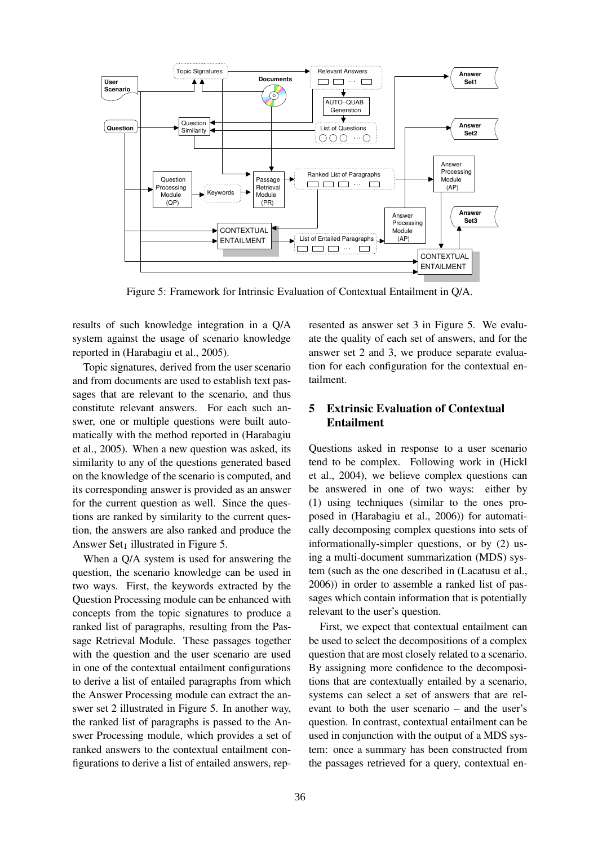

Figure 5: Framework for Intrinsic Evaluation of Contextual Entailment in Q/A.

results of such knowledge integration in a Q/A system against the usage of scenario knowledge reported in (Harabagiu et al., 2005).

Topic signatures, derived from the user scenario and from documents are used to establish text passages that are relevant to the scenario, and thus constitute relevant answers. For each such answer, one or multiple questions were built automatically with the method reported in (Harabagiu et al., 2005). When a new question was asked, its similarity to any of the questions generated based on the knowledge of the scenario is computed, and its corresponding answer is provided as an answer for the current question as well. Since the questions are ranked by similarity to the current question, the answers are also ranked and produce the Answer Set<sub>1</sub> illustrated in Figure 5.

When a  $O/A$  system is used for answering the question, the scenario knowledge can be used in two ways. First, the keywords extracted by the Question Processing module can be enhanced with concepts from the topic signatures to produce a ranked list of paragraphs, resulting from the Passage Retrieval Module. These passages together with the question and the user scenario are used in one of the contextual entailment configurations to derive a list of entailed paragraphs from which the Answer Processing module can extract the answer set 2 illustrated in Figure 5. In another way, the ranked list of paragraphs is passed to the Answer Processing module, which provides a set of ranked answers to the contextual entailment configurations to derive a list of entailed answers, represented as answer set 3 in Figure 5. We evaluate the quality of each set of answers, and for the answer set 2 and 3, we produce separate evaluation for each configuration for the contextual entailment.

# **5 Extrinsic Evaluation of Contextual Entailment**

Questions asked in response to a user scenario tend to be complex. Following work in (Hickl et al., 2004), we believe complex questions can be answered in one of two ways: either by (1) using techniques (similar to the ones proposed in (Harabagiu et al., 2006)) for automatically decomposing complex questions into sets of informationally-simpler questions, or by (2) using a multi-document summarization (MDS) system (such as the one described in (Lacatusu et al., 2006)) in order to assemble a ranked list of passages which contain information that is potentially relevant to the user's question.

First, we expect that contextual entailment can be used to select the decompositions of a complex question that are most closely related to a scenario. By assigning more confidence to the decompositions that are contextually entailed by a scenario, systems can select a set of answers that are relevant to both the user scenario – and the user's question. In contrast, contextual entailment can be used in conjunction with the output of a MDS system: once a summary has been constructed from the passages retrieved for a query, contextual en-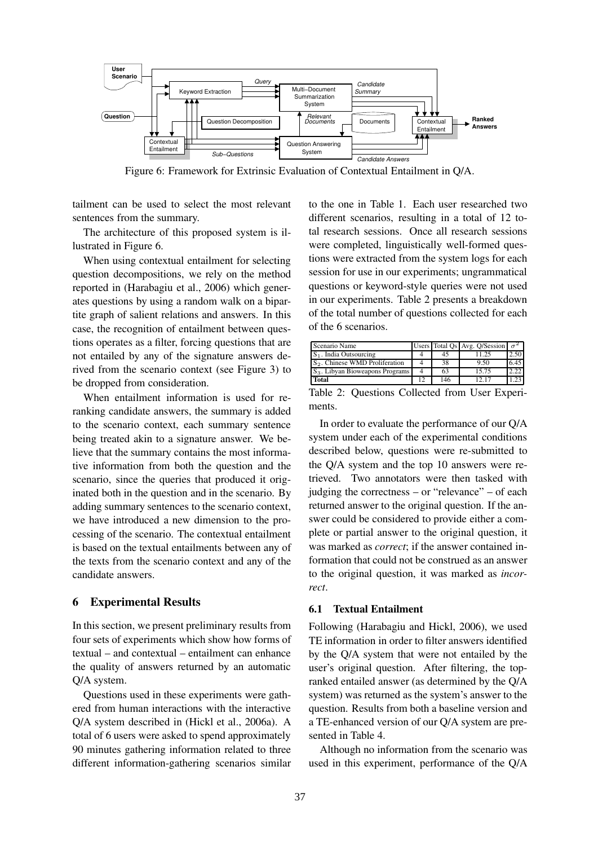

Figure 6: Framework for Extrinsic Evaluation of Contextual Entailment in Q/A.

tailment can be used to select the most relevant sentences from the summary.

The architecture of this proposed system is illustrated in Figure 6.

When using contextual entailment for selecting question decompositions, we rely on the method reported in (Harabagiu et al., 2006) which generates questions by using a random walk on a bipartite graph of salient relations and answers. In this case, the recognition of entailment between questions operates as a filter, forcing questions that are not entailed by any of the signature answers derived from the scenario context (see Figure 3) to be dropped from consideration.

When entailment information is used for reranking candidate answers, the summary is added to the scenario context, each summary sentence being treated akin to a signature answer. We believe that the summary contains the most informative information from both the question and the scenario, since the queries that produced it originated both in the question and in the scenario. By adding summary sentences to the scenario context, we have introduced a new dimension to the processing of the scenario. The contextual entailment is based on the textual entailments between any of the texts from the scenario context and any of the candidate answers.

#### **6 Experimental Results**

In this section, we present preliminary results from four sets of experiments which show how forms of textual – and contextual – entailment can enhance the quality of answers returned by an automatic Q/A system.

Questions used in these experiments were gathered from human interactions with the interactive Q/A system described in (Hickl et al., 2006a). A total of 6 users were asked to spend approximately 90 minutes gathering information related to three different information-gathering scenarios similar

to the one in Table 1. Each user researched two different scenarios, resulting in a total of 12 total research sessions. Once all research sessions were completed, linguistically well-formed questions were extracted from the system logs for each session for use in our experiments; ungrammatical questions or keyword-style queries were not used in our experiments. Table 2 presents a breakdown of the total number of questions collected for each of the 6 scenarios.

| Scenario Name                              |     | Users Total Os Avg. O/Session $\sigma^2$ |      |
|--------------------------------------------|-----|------------------------------------------|------|
| $S_1$ . India Outsourcing                  |     | 125                                      |      |
| S <sub>2</sub> . Chinese WMD Proliferation | 38  | 9.50                                     | 6.45 |
| $S_3$ . Libyan Bioweapons Programs         | 63  | 15.75                                    |      |
| Total                                      | 146 | 17                                       |      |

|        | Table 2: Questions Collected from User Experi- |  |  |
|--------|------------------------------------------------|--|--|
| ments. |                                                |  |  |

In order to evaluate the performance of our Q/A system under each of the experimental conditions described below, questions were re-submitted to the Q/A system and the top 10 answers were retrieved. Two annotators were then tasked with judging the correctness – or "relevance" – of each returned answer to the original question. If the answer could be considered to provide either a complete or partial answer to the original question, it was marked as *correct*; if the answer contained information that could not be construed as an answer to the original question, it was marked as *incorrect*.

### **6.1 Textual Entailment**

Following (Harabagiu and Hickl, 2006), we used TE information in order to filter answers identified by the Q/A system that were not entailed by the user's original question. After filtering, the topranked entailed answer (as determined by the Q/A system) was returned as the system's answer to the question. Results from both a baseline version and a TE-enhanced version of our Q/A system are presented in Table 4.

Although no information from the scenario was used in this experiment, performance of the Q/A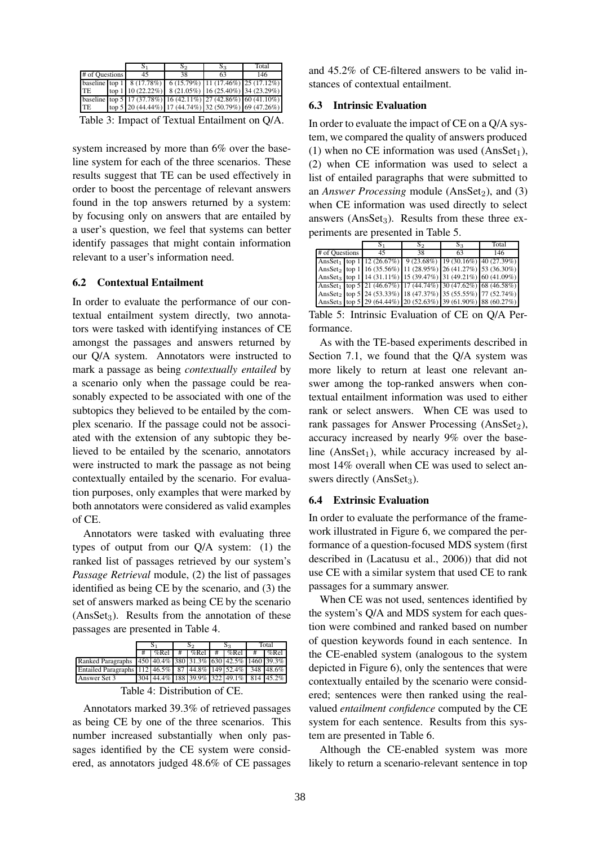|                    |  |                                                                          | $S_2$ | $S_3$ | Total |  |  |
|--------------------|--|--------------------------------------------------------------------------|-------|-------|-------|--|--|
| # of Questions     |  | 45                                                                       | 38    | 63    | 146   |  |  |
|                    |  | baseline top 1   $8(17.78%)$   $6(15.79%)$   $11(17.46%)$   $25(17.12%)$ |       |       |       |  |  |
| TE                 |  | top 1   10 (22.22%)   8 (21.05%)   16 (25.40%)   34 (23.29%)             |       |       |       |  |  |
|                    |  | baseline top 5   17 (37.78%)   16 (42.11%)   27 (42.86%)   60 (41.10%)   |       |       |       |  |  |
| <b>TE</b>          |  | top 5 20 (44.44%) 17 (44.74%) 32 (50.79%) 69 (47.26%)                    |       |       |       |  |  |
| — 11 A T (m. 11 H) |  |                                                                          |       |       |       |  |  |

Table 3: Impact of Textual Entailment on Q/A.

system increased by more than 6% over the baseline system for each of the three scenarios. These results suggest that TE can be used effectively in order to boost the percentage of relevant answers found in the top answers returned by a system: by focusing only on answers that are entailed by a user's question, we feel that systems can better identify passages that might contain information relevant to a user's information need.

### **6.2 Contextual Entailment**

In order to evaluate the performance of our contextual entailment system directly, two annotators were tasked with identifying instances of CE amongst the passages and answers returned by our Q/A system. Annotators were instructed to mark a passage as being *contextually entailed* by a scenario only when the passage could be reasonably expected to be associated with one of the subtopics they believed to be entailed by the complex scenario. If the passage could not be associated with the extension of any subtopic they believed to be entailed by the scenario, annotators were instructed to mark the passage as not being contextually entailed by the scenario. For evaluation purposes, only examples that were marked by both annotators were considered as valid examples of CE.

Annotators were tasked with evaluating three types of output from our Q/A system: (1) the ranked list of passages retrieved by our system's *Passage Retrieval* module, (2) the list of passages identified as being CE by the scenario, and (3) the set of answers marked as being CE by the scenario  $(AnsSet<sub>3</sub>)$ . Results from the annotation of these passages are presented in Table 4.

| %Rel<br>%Rel<br>%Rel<br>450 40.4% 380 31.3% 630 42.5% 1460 39.3%<br>Ranked Paragraphs<br>112 46.5%<br>44.8% 149 52.4%<br>348<br>87<br><b>Entailed Paragraphs</b> | Total<br>ວາ<br>23 |  |  |  |  |  |  |  |         |
|------------------------------------------------------------------------------------------------------------------------------------------------------------------|-------------------|--|--|--|--|--|--|--|---------|
|                                                                                                                                                                  |                   |  |  |  |  |  |  |  | $%$ Rel |
|                                                                                                                                                                  |                   |  |  |  |  |  |  |  |         |
|                                                                                                                                                                  |                   |  |  |  |  |  |  |  |         |
| 304 44.4% 188 39.9% 322 49.1%                                                                                                                                    | Answer Set 3      |  |  |  |  |  |  |  |         |

Table 4: Distribution of CE.

Annotators marked 39.3% of retrieved passages as being CE by one of the three scenarios. This number increased substantially when only passages identified by the CE system were considered, as annotators judged 48.6% of CE passages

and 45.2% of CE-filtered answers to be valid instances of contextual entailment.

### **6.3 Intrinsic Evaluation**

In order to evaluate the impact of CE on a Q/A system, we compared the quality of answers produced (1) when no CE information was used  $(AnsSet<sub>1</sub>)$ , (2) when CE information was used to select a list of entailed paragraphs that were submitted to an *Answer Processing* module (AnsSet<sub>2</sub>), and (3) when CE information was used directly to select answers ( $AnsSet_3$ ). Results from these three experiments are presented in Table 5.

|                |  |                                                                                   | S2 | $S_3$ | Total |
|----------------|--|-----------------------------------------------------------------------------------|----|-------|-------|
| # of Questions |  | 45                                                                                | 38 | 63    | 146   |
|                |  | AnsSet <sub>1</sub> top 1 12 (26.67%) $9(23.68%)$ 19 (30.16%) 40 (27.39%)         |    |       |       |
|                |  | AnsSet <sub>2</sub> top 1 16 (35.56%) 11 (28.95%) 26 (41.27%) 53 (36.30%)         |    |       |       |
|                |  | AnsSet <sub>3</sub> top 1   14 (31.11%)   15 (39.47%)   31 (49.21%)   60 (41.09%) |    |       |       |
|                |  | AnsSet <sub>1</sub> top 5 21 (46.67%) 17 (44.74%) 30 (47.62%) 68 (46.58%)         |    |       |       |
|                |  | AnsSet <sub>2</sub> top 5 24 (53.33%) 18 (47.37%) 35 (55.55%) 77 (52.74%)         |    |       |       |
|                |  | AnsSet <sub>3</sub> top 5 29 (64.44%) 20 (52.63%) 39 (61.90%) 88 (60.27%)         |    |       |       |

Table 5: Intrinsic Evaluation of CE on Q/A Performance.

As with the TE-based experiments described in Section 7.1, we found that the Q/A system was more likely to return at least one relevant answer among the top-ranked answers when contextual entailment information was used to either rank or select answers. When CE was used to rank passages for Answer Processing  $(AnsSet_2)$ , accuracy increased by nearly 9% over the baseline (Ans $Set_1$ ), while accuracy increased by almost 14% overall when CE was used to select answers directly  $(AnsSet_3)$ .

#### **6.4 Extrinsic Evaluation**

In order to evaluate the performance of the framework illustrated in Figure 6, we compared the performance of a question-focused MDS system (first described in (Lacatusu et al., 2006)) that did not use CE with a similar system that used CE to rank passages for a summary answer.

When CE was not used, sentences identified by the system's Q/A and MDS system for each question were combined and ranked based on number of question keywords found in each sentence. In the CE-enabled system (analogous to the system depicted in Figure 6), only the sentences that were contextually entailed by the scenario were considered; sentences were then ranked using the realvalued *entailment confidence* computed by the CE system for each sentence. Results from this system are presented in Table 6.

Although the CE-enabled system was more likely to return a scenario-relevant sentence in top